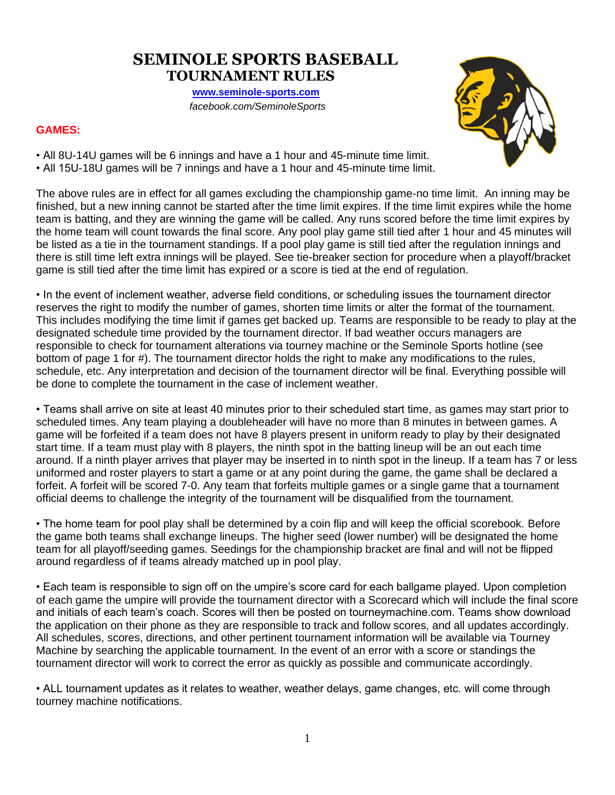# **SEMINOLE SPORTS BASEBALL TOURNAMENT RULES**

 **[www.seminole-sports.com](http://www.seminole-sports.com/)** *facebook.com/SeminoleSports*

# **GAMES:**



• All 8U-14U games will be 6 innings and have a 1 hour and 45-minute time limit. • All 15U-18U games will be 7 innings and have a 1 hour and 45-minute time limit.

The above rules are in effect for all games excluding the championship game-no time limit. An inning may be finished, but a new inning cannot be started after the time limit expires. If the time limit expires while the home team is batting, and they are winning the game will be called. Any runs scored before the time limit expires by the home team will count towards the final score. Any pool play game still tied after 1 hour and 45 minutes will be listed as a tie in the tournament standings. If a pool play game is still tied after the regulation innings and there is still time left extra innings will be played. See tie-breaker section for procedure when a playoff/bracket game is still tied after the time limit has expired or a score is tied at the end of regulation.

• In the event of inclement weather, adverse field conditions, or scheduling issues the tournament director reserves the right to modify the number of games, shorten time limits or alter the format of the tournament. This includes modifying the time limit if games get backed up. Teams are responsible to be ready to play at the designated schedule time provided by the tournament director. If bad weather occurs managers are responsible to check for tournament alterations via tourney machine or the Seminole Sports hotline (see bottom of page 1 for #). The tournament director holds the right to make any modifications to the rules, schedule, etc. Any interpretation and decision of the tournament director will be final. Everything possible will be done to complete the tournament in the case of inclement weather.

• Teams shall arrive on site at least 40 minutes prior to their scheduled start time, as games may start prior to scheduled times. Any team playing a doubleheader will have no more than 8 minutes in between games. A game will be forfeited if a team does not have 8 players present in uniform ready to play by their designated start time. If a team must play with 8 players, the ninth spot in the batting lineup will be an out each time around. If a ninth player arrives that player may be inserted in to ninth spot in the lineup. If a team has 7 or less uniformed and roster players to start a game or at any point during the game, the game shall be declared a forfeit. A forfeit will be scored 7-0. Any team that forfeits multiple games or a single game that a tournament official deems to challenge the integrity of the tournament will be disqualified from the tournament.

• The home team for pool play shall be determined by a coin flip and will keep the official scorebook. Before the game both teams shall exchange lineups. The higher seed (lower number) will be designated the home team for all playoff/seeding games. Seedings for the championship bracket are final and will not be flipped around regardless of if teams already matched up in pool play.

• Each team is responsible to sign off on the umpire's score card for each ballgame played. Upon completion of each game the umpire will provide the tournament director with a Scorecard which will include the final score and initials of each team's coach. Scores will then be posted on tourneymachine.com. Teams show download the application on their phone as they are responsible to track and follow scores, and all updates accordingly. All schedules, scores, directions, and other pertinent tournament information will be available via Tourney Machine by searching the applicable tournament. In the event of an error with a score or standings the tournament director will work to correct the error as quickly as possible and communicate accordingly.

• ALL tournament updates as it relates to weather, weather delays, game changes, etc. will come through tourney machine notifications.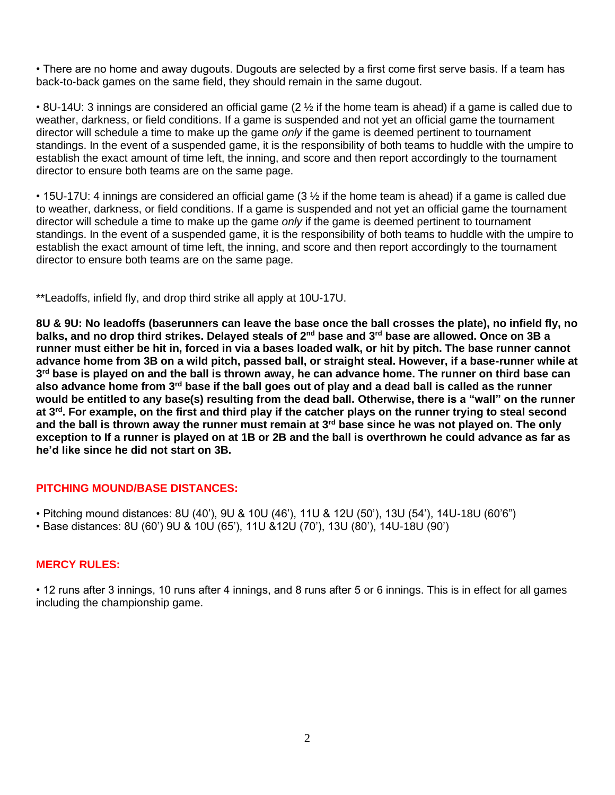• There are no home and away dugouts. Dugouts are selected by a first come first serve basis. If a team has back-to-back games on the same field, they should remain in the same dugout.

• 8U-14U: 3 innings are considered an official game (2 ½ if the home team is ahead) if a game is called due to weather, darkness, or field conditions. If a game is suspended and not yet an official game the tournament director will schedule a time to make up the game *only* if the game is deemed pertinent to tournament standings. In the event of a suspended game, it is the responsibility of both teams to huddle with the umpire to establish the exact amount of time left, the inning, and score and then report accordingly to the tournament director to ensure both teams are on the same page.

• 15U-17U: 4 innings are considered an official game (3 ½ if the home team is ahead) if a game is called due to weather, darkness, or field conditions. If a game is suspended and not yet an official game the tournament director will schedule a time to make up the game *only* if the game is deemed pertinent to tournament standings. In the event of a suspended game, it is the responsibility of both teams to huddle with the umpire to establish the exact amount of time left, the inning, and score and then report accordingly to the tournament director to ensure both teams are on the same page.

\*\*Leadoffs, infield fly, and drop third strike all apply at 10U-17U.

**8U & 9U: No leadoffs (baserunners can leave the base once the ball crosses the plate), no infield fly, no balks, and no drop third strikes. Delayed steals of 2nd base and 3rd base are allowed. Once on 3B a runner must either be hit in, forced in via a bases loaded walk, or hit by pitch. The base runner cannot advance home from 3B on a wild pitch, passed ball, or straight steal. However, if a base-runner while at 3 rd base is played on and the ball is thrown away, he can advance home. The runner on third base can also advance home from 3rd base if the ball goes out of play and a dead ball is called as the runner would be entitled to any base(s) resulting from the dead ball. Otherwise, there is a "wall" on the runner at 3rd. For example, on the first and third play if the catcher plays on the runner trying to steal second and the ball is thrown away the runner must remain at 3rd base since he was not played on. The only exception to If a runner is played on at 1B or 2B and the ball is overthrown he could advance as far as he'd like since he did not start on 3B.**

### **PITCHING MOUND/BASE DISTANCES:**

• Pitching mound distances: 8U (40'), 9U & 10U (46'), 11U & 12U (50'), 13U (54'), 14U-18U (60'6")

• Base distances: 8U (60') 9U & 10U (65'), 11U &12U (70'), 13U (80'), 14U-18U (90')

### **MERCY RULES:**

• 12 runs after 3 innings, 10 runs after 4 innings, and 8 runs after 5 or 6 innings. This is in effect for all games including the championship game.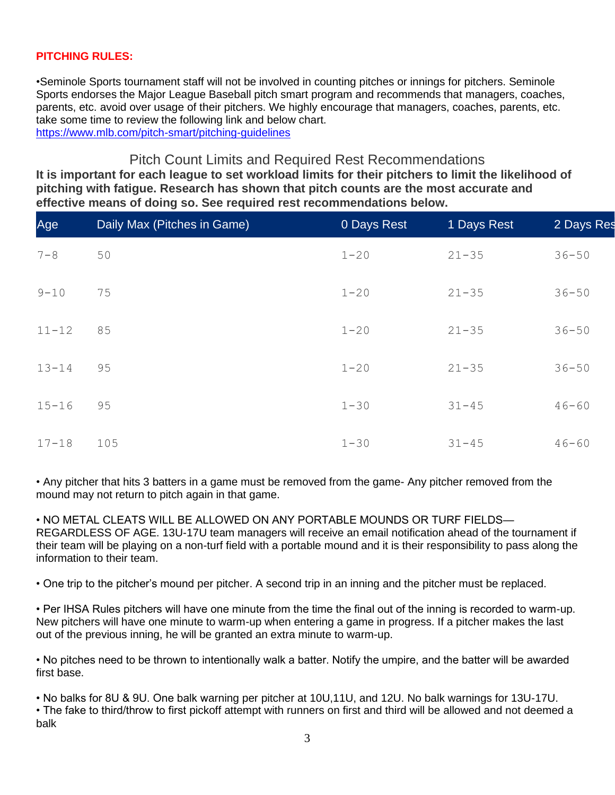# **PITCHING RULES:**

•Seminole Sports tournament staff will not be involved in counting pitches or innings for pitchers. Seminole Sports endorses the Major League Baseball pitch smart program and recommends that managers, coaches, parents, etc. avoid over usage of their pitchers. We highly encourage that managers, coaches, parents, etc. take some time to review the following link and below chart. <https://www.mlb.com/pitch-smart/pitching-guidelines>

# Pitch Count Limits and Required Rest Recommendations

**It is important for each league to set workload limits for their pitchers to limit the likelihood of pitching with fatigue. Research has shown that pitch counts are the most accurate and effective means of doing so. See required rest recommendations below.**

| Age       | Daily Max (Pitches in Game) | 0 Days Rest | 1 Days Rest | 2 Days Res |
|-----------|-----------------------------|-------------|-------------|------------|
| $7 - 8$   | 50                          | $1 - 20$    | $21 - 35$   | $36 - 50$  |
| $9 - 10$  | 75                          | $1 - 20$    | $21 - 35$   | $36 - 50$  |
| $11 - 12$ | 85                          | $1 - 20$    | $21 - 35$   | $36 - 50$  |
| $13 - 14$ | 95                          | $1 - 20$    | $21 - 35$   | $36 - 50$  |
| $15 - 16$ | 95                          | $1 - 30$    | $31 - 45$   | $46 - 60$  |
| $17 - 18$ | 105                         | $1 - 30$    | $31 - 45$   | $46 - 60$  |

• Any pitcher that hits 3 batters in a game must be removed from the game- Any pitcher removed from the mound may not return to pitch again in that game.

• NO METAL CLEATS WILL BE ALLOWED ON ANY PORTABLE MOUNDS OR TURF FIELDS— REGARDLESS OF AGE. 13U-17U team managers will receive an email notification ahead of the tournament if their team will be playing on a non-turf field with a portable mound and it is their responsibility to pass along the information to their team.

• One trip to the pitcher's mound per pitcher. A second trip in an inning and the pitcher must be replaced.

• Per IHSA Rules pitchers will have one minute from the time the final out of the inning is recorded to warm-up. New pitchers will have one minute to warm-up when entering a game in progress. If a pitcher makes the last out of the previous inning, he will be granted an extra minute to warm-up.

• No pitches need to be thrown to intentionally walk a batter. Notify the umpire, and the batter will be awarded first base.

• No balks for 8U & 9U. One balk warning per pitcher at 10U,11U, and 12U. No balk warnings for 13U-17U. • The fake to third/throw to first pickoff attempt with runners on first and third will be allowed and not deemed a balk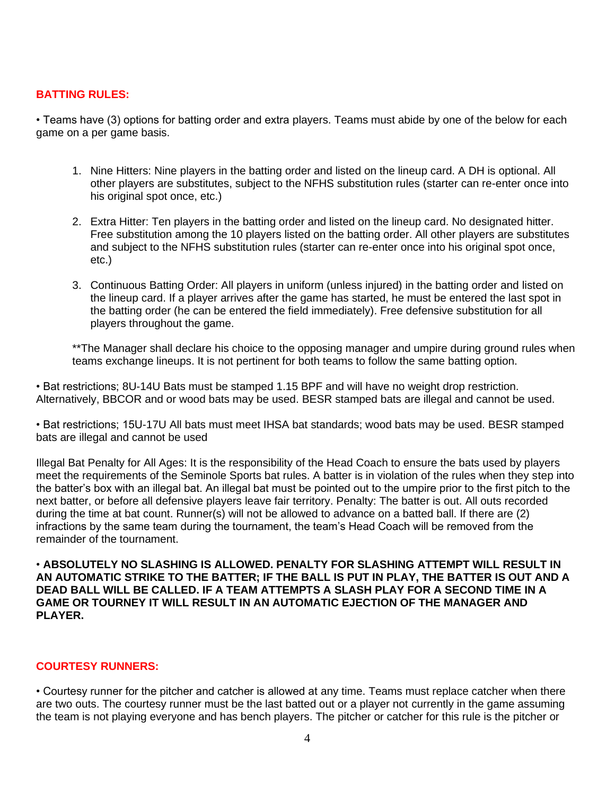### **BATTING RULES:**

• Teams have (3) options for batting order and extra players. Teams must abide by one of the below for each game on a per game basis.

- 1. Nine Hitters: Nine players in the batting order and listed on the lineup card. A DH is optional. All other players are substitutes, subject to the NFHS substitution rules (starter can re-enter once into his original spot once, etc.)
- 2. Extra Hitter: Ten players in the batting order and listed on the lineup card. No designated hitter. Free substitution among the 10 players listed on the batting order. All other players are substitutes and subject to the NFHS substitution rules (starter can re-enter once into his original spot once, etc.)
- 3. Continuous Batting Order: All players in uniform (unless injured) in the batting order and listed on the lineup card. If a player arrives after the game has started, he must be entered the last spot in the batting order (he can be entered the field immediately). Free defensive substitution for all players throughout the game.

\*\*The Manager shall declare his choice to the opposing manager and umpire during ground rules when teams exchange lineups. It is not pertinent for both teams to follow the same batting option.

• Bat restrictions; 8U-14U Bats must be stamped 1.15 BPF and will have no weight drop restriction. Alternatively, BBCOR and or wood bats may be used. BESR stamped bats are illegal and cannot be used.

• Bat restrictions; 15U-17U All bats must meet IHSA bat standards; wood bats may be used. BESR stamped bats are illegal and cannot be used

Illegal Bat Penalty for All Ages: It is the responsibility of the Head Coach to ensure the bats used by players meet the requirements of the Seminole Sports bat rules. A batter is in violation of the rules when they step into the batter's box with an illegal bat. An illegal bat must be pointed out to the umpire prior to the first pitch to the next batter, or before all defensive players leave fair territory. Penalty: The batter is out. All outs recorded during the time at bat count. Runner(s) will not be allowed to advance on a batted ball. If there are (2) infractions by the same team during the tournament, the team's Head Coach will be removed from the remainder of the tournament.

• **ABSOLUTELY NO SLASHING IS ALLOWED. PENALTY FOR SLASHING ATTEMPT WILL RESULT IN AN AUTOMATIC STRIKE TO THE BATTER; IF THE BALL IS PUT IN PLAY, THE BATTER IS OUT AND A DEAD BALL WILL BE CALLED. IF A TEAM ATTEMPTS A SLASH PLAY FOR A SECOND TIME IN A GAME OR TOURNEY IT WILL RESULT IN AN AUTOMATIC EJECTION OF THE MANAGER AND PLAYER.**

#### **COURTESY RUNNERS:**

• Courtesy runner for the pitcher and catcher is allowed at any time. Teams must replace catcher when there are two outs. The courtesy runner must be the last batted out or a player not currently in the game assuming the team is not playing everyone and has bench players. The pitcher or catcher for this rule is the pitcher or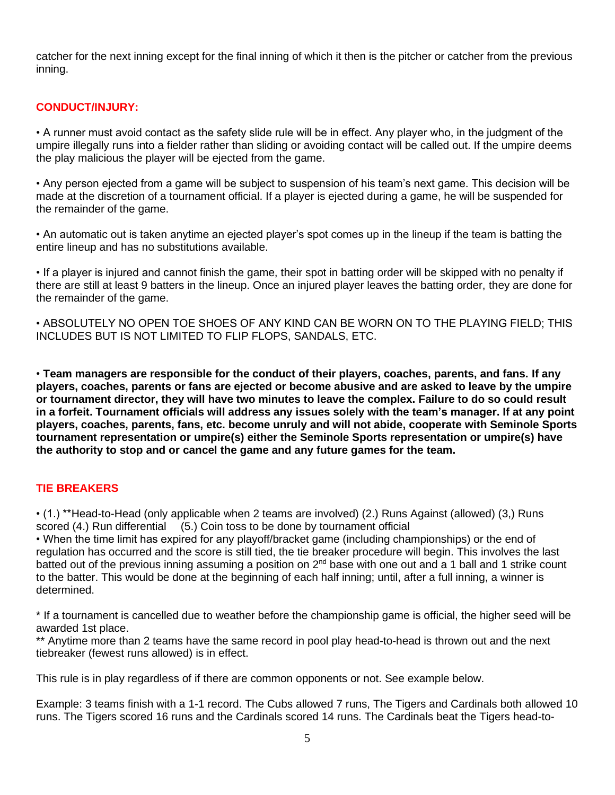catcher for the next inning except for the final inning of which it then is the pitcher or catcher from the previous inning.

# **CONDUCT/INJURY:**

• A runner must avoid contact as the safety slide rule will be in effect. Any player who, in the judgment of the umpire illegally runs into a fielder rather than sliding or avoiding contact will be called out. If the umpire deems the play malicious the player will be ejected from the game.

• Any person ejected from a game will be subject to suspension of his team's next game. This decision will be made at the discretion of a tournament official. If a player is ejected during a game, he will be suspended for the remainder of the game.

• An automatic out is taken anytime an ejected player's spot comes up in the lineup if the team is batting the entire lineup and has no substitutions available.

• If a player is injured and cannot finish the game, their spot in batting order will be skipped with no penalty if there are still at least 9 batters in the lineup. Once an injured player leaves the batting order, they are done for the remainder of the game.

• ABSOLUTELY NO OPEN TOE SHOES OF ANY KIND CAN BE WORN ON TO THE PLAYING FIELD; THIS INCLUDES BUT IS NOT LIMITED TO FLIP FLOPS, SANDALS, ETC.

• **Team managers are responsible for the conduct of their players, coaches, parents, and fans. If any players, coaches, parents or fans are ejected or become abusive and are asked to leave by the umpire or tournament director, they will have two minutes to leave the complex. Failure to do so could result in a forfeit. Tournament officials will address any issues solely with the team's manager. If at any point players, coaches, parents, fans, etc. become unruly and will not abide, cooperate with Seminole Sports tournament representation or umpire(s) either the Seminole Sports representation or umpire(s) have the authority to stop and or cancel the game and any future games for the team.**

### **TIE BREAKERS**

• (1.) \*\*Head-to-Head (only applicable when 2 teams are involved) (2.) Runs Against (allowed) (3,) Runs scored (4.) Run differential (5.) Coin toss to be done by tournament official

• When the time limit has expired for any playoff/bracket game (including championships) or the end of regulation has occurred and the score is still tied, the tie breaker procedure will begin. This involves the last batted out of the previous inning assuming a position on 2<sup>nd</sup> base with one out and a 1 ball and 1 strike count to the batter. This would be done at the beginning of each half inning; until, after a full inning, a winner is determined.

\* If a tournament is cancelled due to weather before the championship game is official, the higher seed will be awarded 1st place.

\*\* Anytime more than 2 teams have the same record in pool play head-to-head is thrown out and the next tiebreaker (fewest runs allowed) is in effect.

This rule is in play regardless of if there are common opponents or not. See example below.

Example: 3 teams finish with a 1-1 record. The Cubs allowed 7 runs, The Tigers and Cardinals both allowed 10 runs. The Tigers scored 16 runs and the Cardinals scored 14 runs. The Cardinals beat the Tigers head-to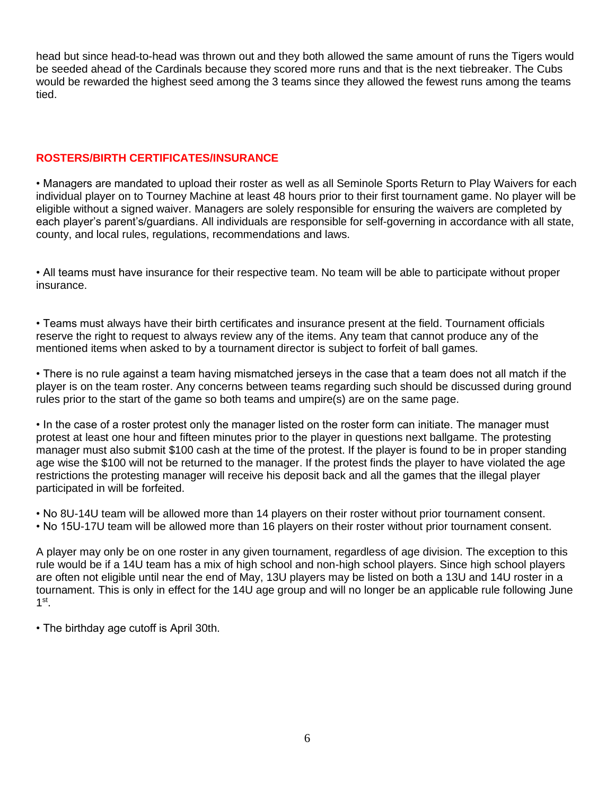head but since head-to-head was thrown out and they both allowed the same amount of runs the Tigers would be seeded ahead of the Cardinals because they scored more runs and that is the next tiebreaker. The Cubs would be rewarded the highest seed among the 3 teams since they allowed the fewest runs among the teams tied.

# **ROSTERS/BIRTH CERTIFICATES/INSURANCE**

• Managers are mandated to upload their roster as well as all Seminole Sports Return to Play Waivers for each individual player on to Tourney Machine at least 48 hours prior to their first tournament game. No player will be eligible without a signed waiver. Managers are solely responsible for ensuring the waivers are completed by each player's parent's/guardians. All individuals are responsible for self-governing in accordance with all state, county, and local rules, regulations, recommendations and laws.

• All teams must have insurance for their respective team. No team will be able to participate without proper insurance.

• Teams must always have their birth certificates and insurance present at the field. Tournament officials reserve the right to request to always review any of the items. Any team that cannot produce any of the mentioned items when asked to by a tournament director is subject to forfeit of ball games.

• There is no rule against a team having mismatched jerseys in the case that a team does not all match if the player is on the team roster. Any concerns between teams regarding such should be discussed during ground rules prior to the start of the game so both teams and umpire(s) are on the same page.

• In the case of a roster protest only the manager listed on the roster form can initiate. The manager must protest at least one hour and fifteen minutes prior to the player in questions next ballgame. The protesting manager must also submit \$100 cash at the time of the protest. If the player is found to be in proper standing age wise the \$100 will not be returned to the manager. If the protest finds the player to have violated the age restrictions the protesting manager will receive his deposit back and all the games that the illegal player participated in will be forfeited.

• No 8U-14U team will be allowed more than 14 players on their roster without prior tournament consent. • No 15U-17U team will be allowed more than 16 players on their roster without prior tournament consent.

A player may only be on one roster in any given tournament, regardless of age division. The exception to this rule would be if a 14U team has a mix of high school and non-high school players. Since high school players are often not eligible until near the end of May, 13U players may be listed on both a 13U and 14U roster in a tournament. This is only in effect for the 14U age group and will no longer be an applicable rule following June  $1^{\text{st}}$ .

• The birthday age cutoff is April 30th.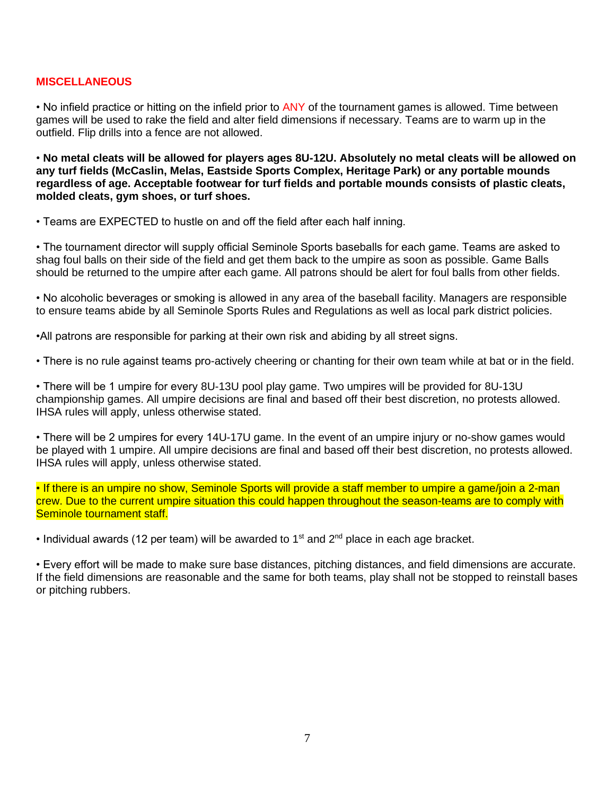#### **MISCELLANEOUS**

• No infield practice or hitting on the infield prior to ANY of the tournament games is allowed. Time between games will be used to rake the field and alter field dimensions if necessary. Teams are to warm up in the outfield. Flip drills into a fence are not allowed.

• **No metal cleats will be allowed for players ages 8U-12U. Absolutely no metal cleats will be allowed on any turf fields (McCaslin, Melas, Eastside Sports Complex, Heritage Park) or any portable mounds regardless of age. Acceptable footwear for turf fields and portable mounds consists of plastic cleats, molded cleats, gym shoes, or turf shoes.** 

• Teams are EXPECTED to hustle on and off the field after each half inning.

• The tournament director will supply official Seminole Sports baseballs for each game. Teams are asked to shag foul balls on their side of the field and get them back to the umpire as soon as possible. Game Balls should be returned to the umpire after each game. All patrons should be alert for foul balls from other fields.

• No alcoholic beverages or smoking is allowed in any area of the baseball facility. Managers are responsible to ensure teams abide by all Seminole Sports Rules and Regulations as well as local park district policies.

•All patrons are responsible for parking at their own risk and abiding by all street signs.

• There is no rule against teams pro-actively cheering or chanting for their own team while at bat or in the field.

• There will be 1 umpire for every 8U-13U pool play game. Two umpires will be provided for 8U-13U championship games. All umpire decisions are final and based off their best discretion, no protests allowed. IHSA rules will apply, unless otherwise stated.

• There will be 2 umpires for every 14U-17U game. In the event of an umpire injury or no-show games would be played with 1 umpire. All umpire decisions are final and based off their best discretion, no protests allowed. IHSA rules will apply, unless otherwise stated.

• If there is an umpire no show, Seminole Sports will provide a staff member to umpire a game/join a 2-man crew. Due to the current umpire situation this could happen throughout the season-teams are to comply with Seminole tournament staff.

• Individual awards (12 per team) will be awarded to 1<sup>st</sup> and  $2<sup>nd</sup>$  place in each age bracket.

• Every effort will be made to make sure base distances, pitching distances, and field dimensions are accurate. If the field dimensions are reasonable and the same for both teams, play shall not be stopped to reinstall bases or pitching rubbers.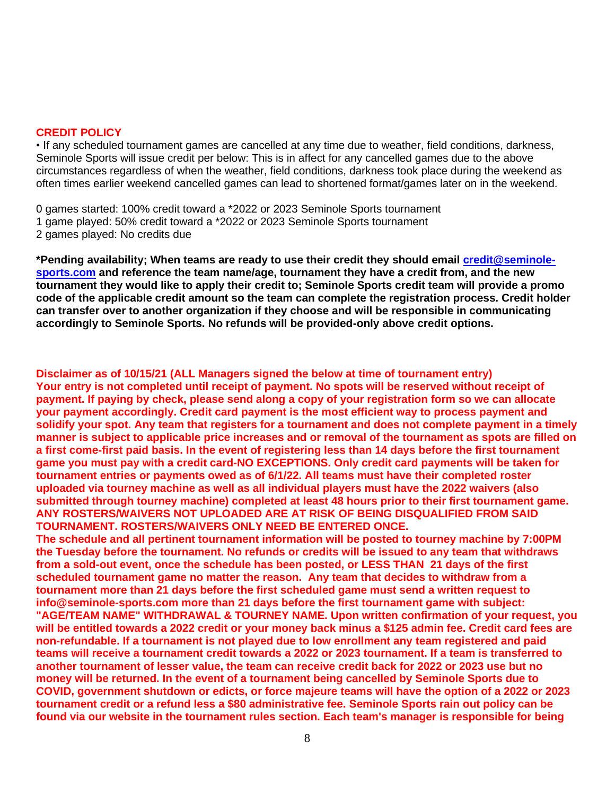#### **CREDIT POLICY**

• If any scheduled tournament games are cancelled at any time due to weather, field conditions, darkness, Seminole Sports will issue credit per below: This is in affect for any cancelled games due to the above circumstances regardless of when the weather, field conditions, darkness took place during the weekend as often times earlier weekend cancelled games can lead to shortened format/games later on in the weekend.

0 games started: 100% credit toward a \*2022 or 2023 Seminole Sports tournament 1 game played: 50% credit toward a \*2022 or 2023 Seminole Sports tournament 2 games played: No credits due

**\*Pending availability; When teams are ready to use their credit they should email [credit@seminole](mailto:credit@seminole-sports.com)[sports.com](mailto:credit@seminole-sports.com) and reference the team name/age, tournament they have a credit from, and the new tournament they would like to apply their credit to; Seminole Sports credit team will provide a promo code of the applicable credit amount so the team can complete the registration process. Credit holder can transfer over to another organization if they choose and will be responsible in communicating accordingly to Seminole Sports. No refunds will be provided-only above credit options.**

**Disclaimer as of 10/15/21 (ALL Managers signed the below at time of tournament entry) Your entry is not completed until receipt of payment. No spots will be reserved without receipt of payment. If paying by check, please send along a copy of your registration form so we can allocate your payment accordingly. Credit card payment is the most efficient way to process payment and solidify your spot. Any team that registers for a tournament and does not complete payment in a timely manner is subject to applicable price increases and or removal of the tournament as spots are filled on a first come-first paid basis. In the event of registering less than 14 days before the first tournament game you must pay with a credit card-NO EXCEPTIONS. Only credit card payments will be taken for tournament entries or payments owed as of 6/1/22. All teams must have their completed roster uploaded via tourney machine as well as all individual players must have the 2022 waivers (also submitted through tourney machine) completed at least 48 hours prior to their first tournament game. ANY ROSTERS/WAIVERS NOT UPLOADED ARE AT RISK OF BEING DISQUALIFIED FROM SAID TOURNAMENT. ROSTERS/WAIVERS ONLY NEED BE ENTERED ONCE.**

**The schedule and all pertinent tournament information will be posted to tourney machine by 7:00PM the Tuesday before the tournament. No refunds or credits will be issued to any team that withdraws from a sold-out event, once the schedule has been posted, or LESS THAN 21 days of the first scheduled tournament game no matter the reason. Any team that decides to withdraw from a tournament more than 21 days before the first scheduled game must send a written request to info@seminole-sports.com more than 21 days before the first tournament game with subject: "AGE/TEAM NAME" WITHDRAWAL & TOURNEY NAME. Upon written confirmation of your request, you will be entitled towards a 2022 credit or your money back minus a \$125 admin fee. Credit card fees are non-refundable. If a tournament is not played due to low enrollment any team registered and paid teams will receive a tournament credit towards a 2022 or 2023 tournament. If a team is transferred to another tournament of lesser value, the team can receive credit back for 2022 or 2023 use but no money will be returned. In the event of a tournament being cancelled by Seminole Sports due to COVID, government shutdown or edicts, or force majeure teams will have the option of a 2022 or 2023 tournament credit or a refund less a \$80 administrative fee. Seminole Sports rain out policy can be found via our website in the tournament rules section. Each team's manager is responsible for being**